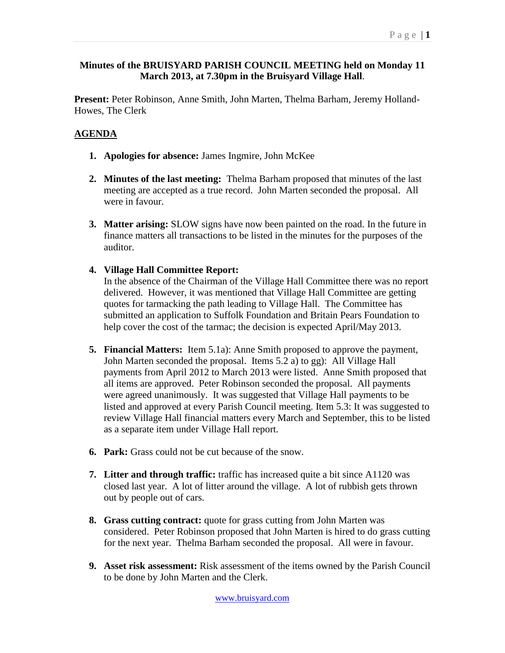## **Minutes of the BRUISYARD PARISH COUNCIL MEETING held on Monday 11 March 2013, at 7.30pm in the Bruisyard Village Hall**.

**Present:** Peter Robinson, Anne Smith, John Marten, Thelma Barham, Jeremy Holland-Howes, The Clerk

## **AGENDA**

- **1. Apologies for absence:** James Ingmire, John McKee
- **2. Minutes of the last meeting:** Thelma Barham proposed that minutes of the last meeting are accepted as a true record. John Marten seconded the proposal. All were in favour.
- **3. Matter arising:** SLOW signs have now been painted on the road. In the future in finance matters all transactions to be listed in the minutes for the purposes of the auditor.
- **4. Village Hall Committee Report:**

In the absence of the Chairman of the Village Hall Committee there was no report delivered. However, it was mentioned that Village Hall Committee are getting quotes for tarmacking the path leading to Village Hall. The Committee has submitted an application to Suffolk Foundation and Britain Pears Foundation to help cover the cost of the tarmac; the decision is expected April/May 2013.

- **5. Financial Matters:** Item 5.1a): Anne Smith proposed to approve the payment, John Marten seconded the proposal. Items 5.2 a) to gg): All Village Hall payments from April 2012 to March 2013 were listed. Anne Smith proposed that all items are approved. Peter Robinson seconded the proposal. All payments were agreed unanimously. It was suggested that Village Hall payments to be listed and approved at every Parish Council meeting. Item 5.3: It was suggested to review Village Hall financial matters every March and September, this to be listed as a separate item under Village Hall report.
- **6. Park:** Grass could not be cut because of the snow.
- **7. Litter and through traffic:** traffic has increased quite a bit since A1120 was closed last year. A lot of litter around the village. A lot of rubbish gets thrown out by people out of cars.
- **8. Grass cutting contract:** quote for grass cutting from John Marten was considered. Peter Robinson proposed that John Marten is hired to do grass cutting for the next year. Thelma Barham seconded the proposal. All were in favour.
- **9. Asset risk assessment:** Risk assessment of the items owned by the Parish Council to be done by John Marten and the Clerk.

www.bruisyard.com